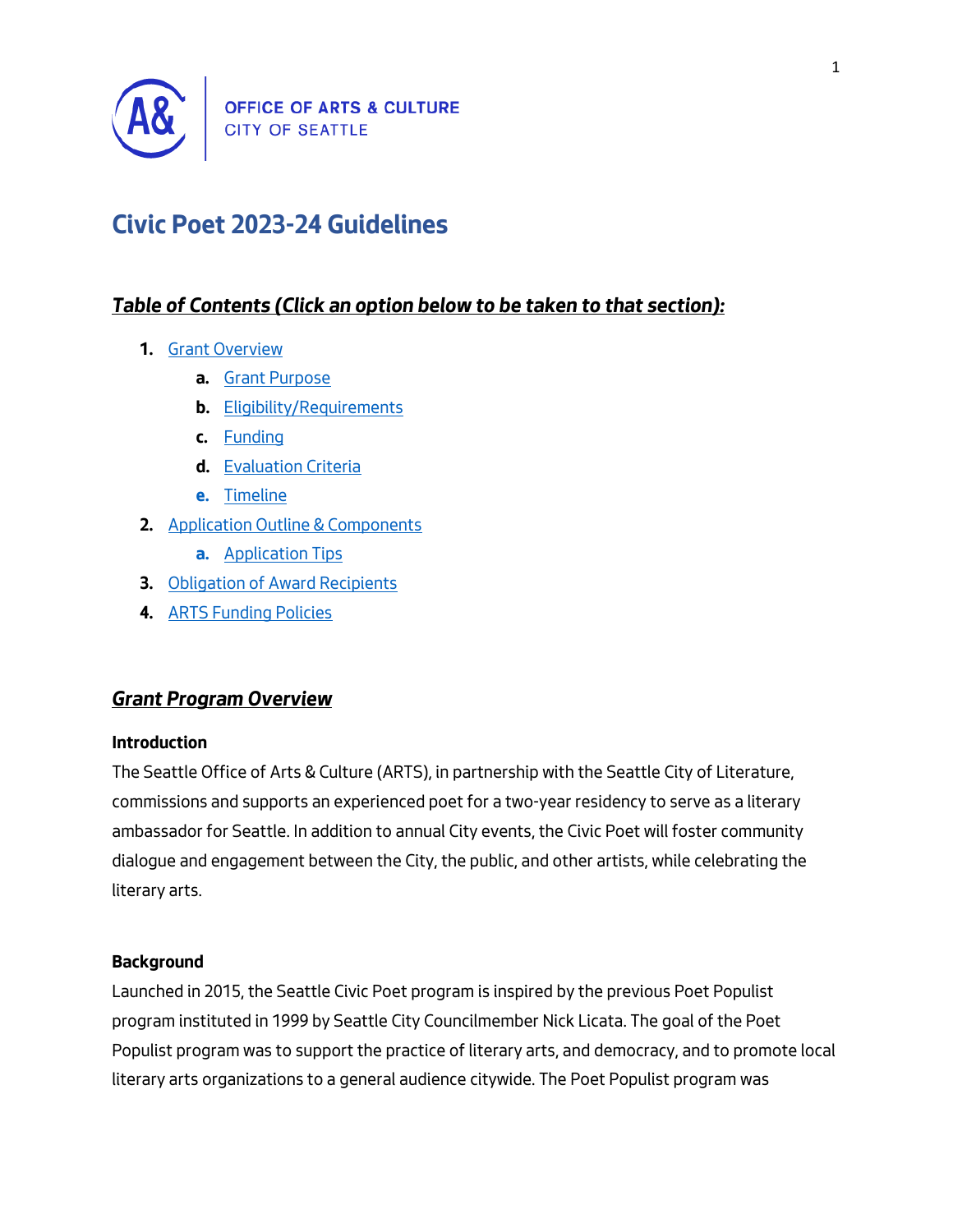

# **Civic Poet 2023-24 Guidelines**

# *Table of Contents (Click an option below to be taken to that section):*

- **1.** [Grant Overview](#page-0-0)
	- **a.** [Grant Purpose](#page-1-0)
	- **b.** [Eligibility/Requirements](#page-1-1)
	- **c.** [Funding](#page-2-0)
	- **d.** [Evaluation Criteria](#page-2-1)
	- **e.** [Timeline](#page-2-2)
- **2.** [Application Outline & Components](#page-3-0)
	- **a.** [Application Tips](#page-3-1)
- **3.** [Obligation of Award Recipients](#page-4-0)
- **4.** [ARTS Funding Policies](#page-4-1)

# <span id="page-0-0"></span>*Grant Program Overview*

### **Introduction**

The Seattle Office of Arts & Culture (ARTS), in partnership with the Seattle City of Literature, commissions and supports an experienced poet for a two-year residency to serve as a literary ambassador for Seattle. In addition to annual City events, the Civic Poet will foster community dialogue and engagement between the City, the public, and other artists, while celebrating the literary arts.

### **Background**

Launched in 2015, the Seattle Civic Poet program is inspired by the previous Poet Populist program instituted in 1999 by Seattle City Councilmember Nick Licata. The goal of the Poet Populist program was to support the practice of literary arts, and democracy, and to promote local literary arts organizations to a general audience citywide. The Poet Populist program was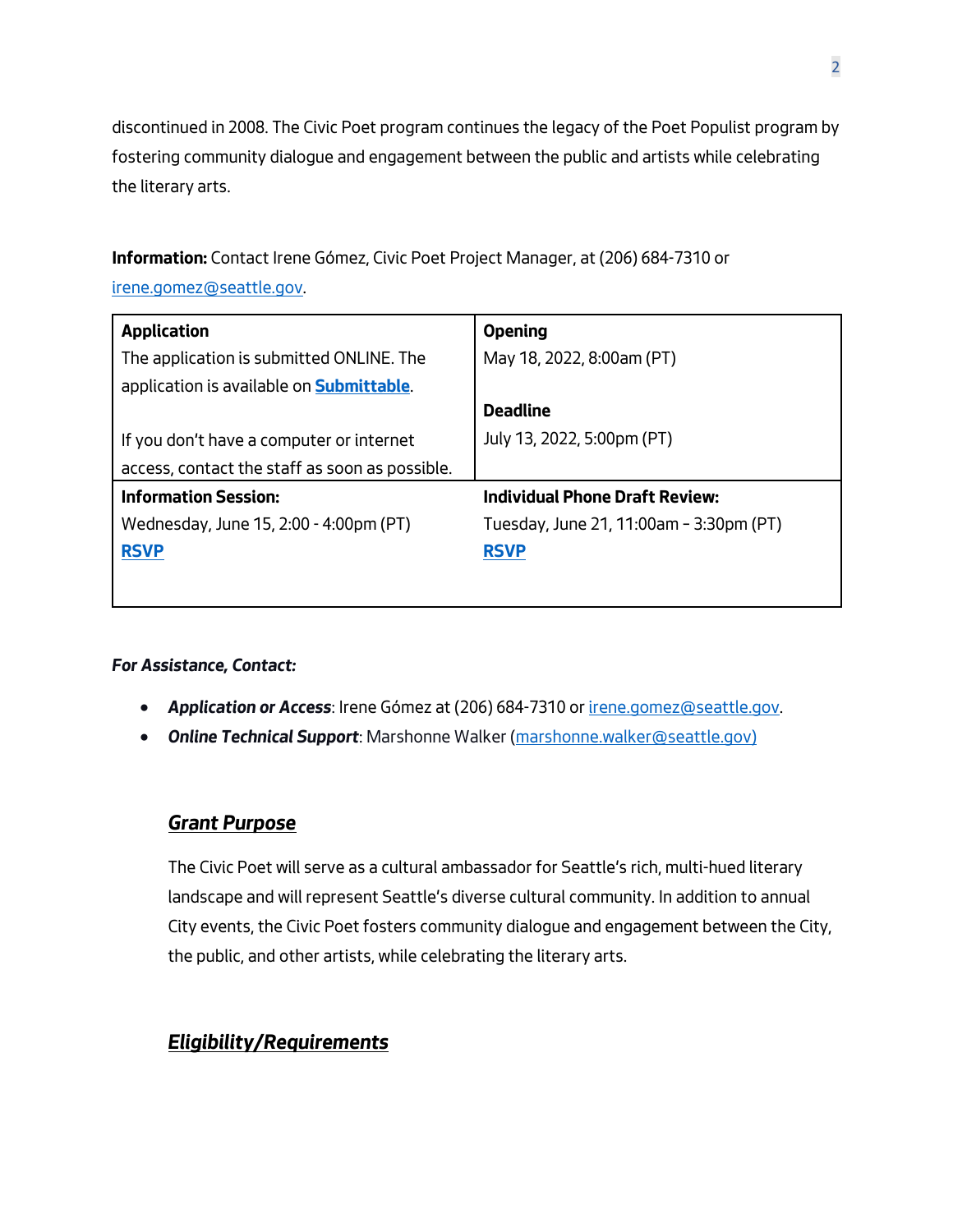discontinued in 2008. The Civic Poet program continues the legacy of the Poet Populist program by fostering community dialogue and engagement between the public and artists while celebrating the literary arts.

**Information:** Contact Irene Gómez, Civic Poet Project Manager, at (206) 684-7310 or [irene.gomez@seattle.gov.](mailto:irene.gomez@seattle.gov) 

| <b>Application</b>                               | <b>Opening</b>                          |
|--------------------------------------------------|-----------------------------------------|
| The application is submitted ONLINE. The         | May 18, 2022, 8:00am (PT)               |
| application is available on <b>Submittable</b> . |                                         |
|                                                  | <b>Deadline</b>                         |
| If you don't have a computer or internet         | July 13, 2022, 5:00pm (PT)              |
| access, contact the staff as soon as possible.   |                                         |
| <b>Information Session:</b>                      | <b>Individual Phone Draft Review:</b>   |
| Wednesday, June 15, 2:00 - 4:00pm (PT)           | Tuesday, June 21, 11:00am - 3:30pm (PT) |
| <b>RSVP</b>                                      | <b>RSVP</b>                             |
|                                                  |                                         |

### *For Assistance, Contact:*

- *Application or Access*: Irene Gómez at (206) 684-7310 o[r irene.gomez@seattle.gov.](mailto:irene.gomez@seattle.gov)
- *Online Technical Support*: Marshonne Walker [\(marshonne.walker@seattle.gov\)](mailto:marshonne.walker@seattle.gov)

### <span id="page-1-0"></span>*Grant Purpose*

The Civic Poet will serve as a cultural ambassador for Seattle's rich, multi-hued literary landscape and will represent Seattle's diverse cultural community. In addition to annual City events, the Civic Poet fosters community dialogue and engagement between the City, the public, and other artists, while celebrating the literary arts.

# <span id="page-1-1"></span>*Eligibility/Requirements*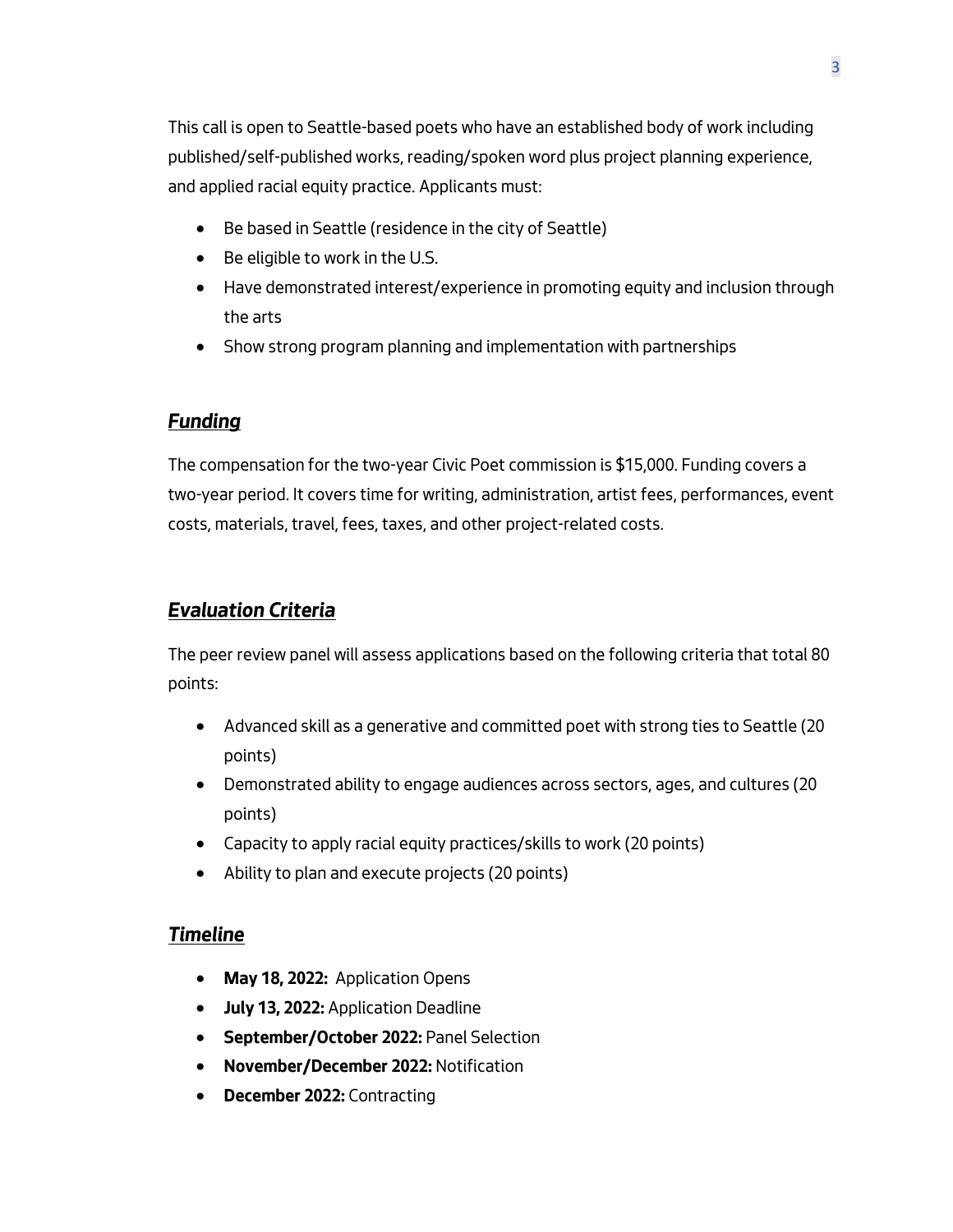This call is open to Seattle-based poets who have an established body of work including published/self-published works, reading/spoken word plus project planning experience, and applied racial equity practice. Applicants must:

- Be based in Seattle (residence in the city of Seattle)
- Be eligible to work in the U.S.
- Have demonstrated interest/experience in promoting equity and inclusion through the arts
- Show strong program planning and implementation with partnerships

# <span id="page-2-0"></span>*Funding*

The compensation for the two-year Civic Poet commission is \$15,000. Funding covers a two-year period. It covers time for writing, administration, artist fees, performances, event costs, materials, travel, fees, taxes, and other project-related costs.

# <span id="page-2-1"></span>*Evaluation Criteria*

The peer review panel will assess applications based on the following criteria that total 80 points:

- Advanced skill as a generative and committed poet with strong ties to Seattle (20 points)
- Demonstrated ability to engage audiences across sectors, ages, and cultures (20 points)
- Capacity to apply racial equity practices/skills to work (20 points)
- Ability to plan and execute projects (20 points)

# <span id="page-2-2"></span>*Timeline*

- **May 18, 2022:** Application Opens
- **July 13, 2022:** Application Deadline
- **September/October 2022:** Panel Selection
- **November/December 2022:** Notification
- **December 2022:** Contracting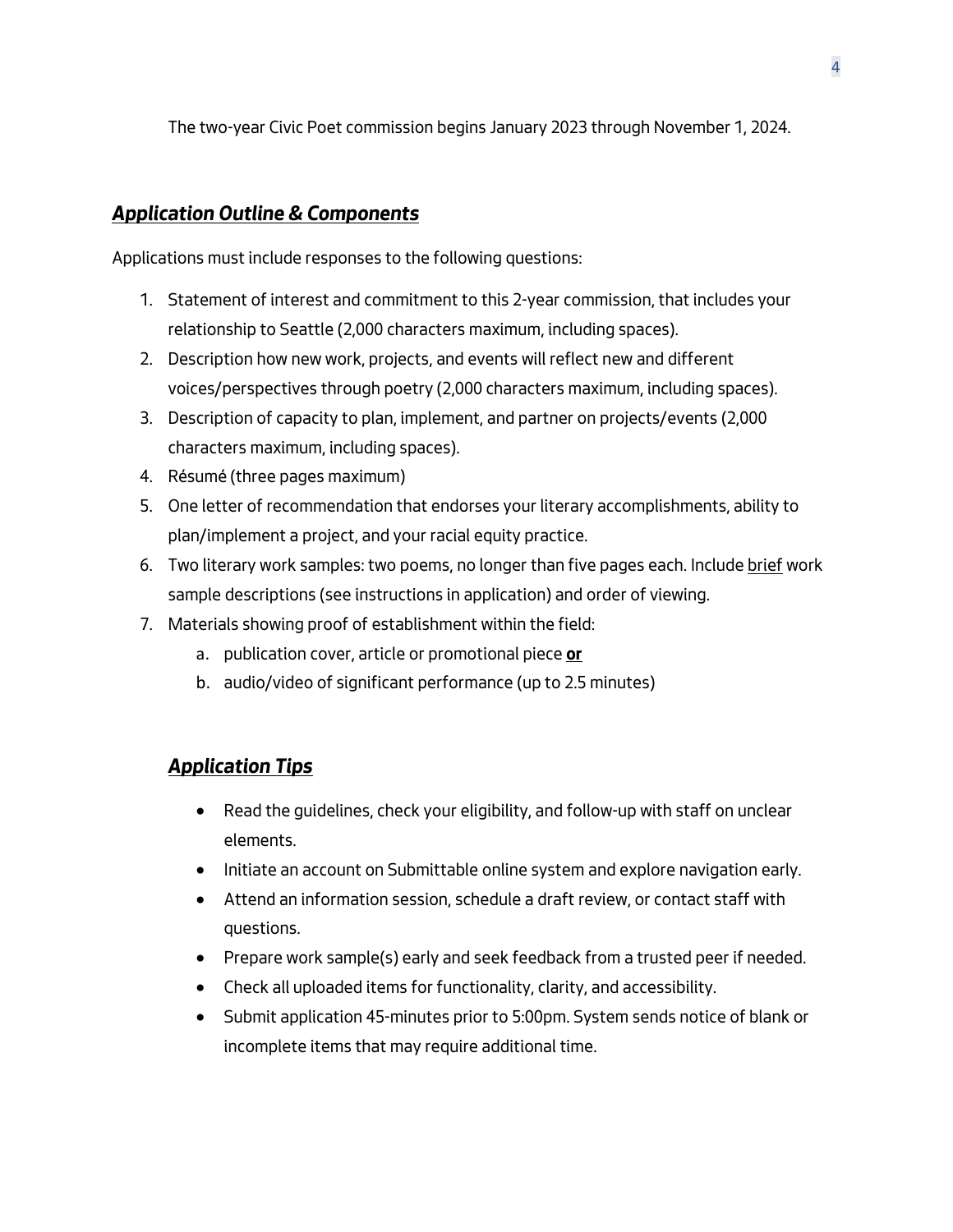The two-year Civic Poet commission begins January 2023 through November 1, 2024.

# <span id="page-3-0"></span>*Application Outline & Components*

Applications must include responses to the following questions:

- 1. Statement of interest and commitment to this 2-year commission, that includes your relationship to Seattle (2,000 characters maximum, including spaces).
- 2. Description how new work, projects, and events will reflect new and different voices/perspectives through poetry (2,000 characters maximum, including spaces).
- 3. Description of capacity to plan, implement, and partner on projects/events (2,000 characters maximum, including spaces).
- 4. Résumé (three pages maximum)
- 5. One letter of recommendation that endorses your literary accomplishments, ability to plan/implement a project, and your racial equity practice.
- 6. Two literary work samples: two poems, no longer than five pages each. Include brief work sample descriptions (see instructions in application) and order of viewing.
- 7. Materials showing proof of establishment within the field:
	- a. publication cover, article or promotional piece **or**
	- b. audio/video of significant performance (up to 2.5 minutes)

# <span id="page-3-1"></span>*Application Tips*

- Read the guidelines, check your eligibility, and follow-up with staff on unclear elements.
- Initiate an account on Submittable online system and explore navigation early.
- Attend an information session, schedule a draft review, or contact staff with questions.
- Prepare work sample(s) early and seek feedback from a trusted peer if needed.
- Check all uploaded items for functionality, clarity, and accessibility.
- Submit application 45-minutes prior to 5:00pm. System sends notice of blank or incomplete items that may require additional time.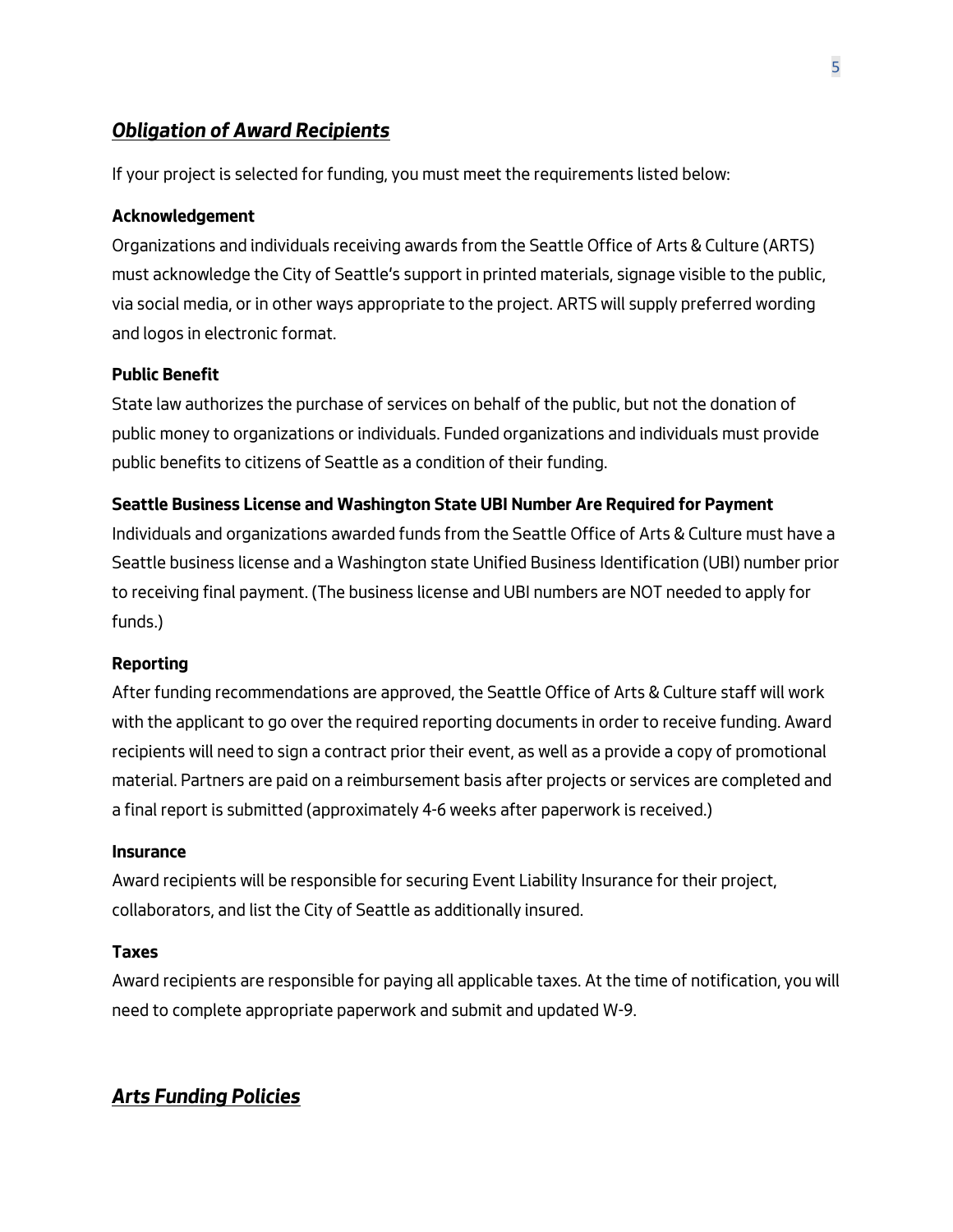# <span id="page-4-0"></span>*Obligation of Award Recipients*

If your project is selected for funding, you must meet the requirements listed below:

#### **Acknowledgement**

Organizations and individuals receiving awards from the Seattle Office of Arts & Culture (ARTS) must acknowledge the City of Seattle's support in printed materials, signage visible to the public, via social media, or in other ways appropriate to the project. ARTS will supply preferred wording and logos in electronic format.

#### **Public Benefit**

State law authorizes the purchase of services on behalf of the public, but not the donation of public money to organizations or individuals. Funded organizations and individuals must provide public benefits to citizens of Seattle as a condition of their funding.

#### **Seattle Business License and Washington State UBI Number Are Required for Payment**

Individuals and organizations awarded funds from the Seattle Office of Arts & Culture must have a Seattle business license and a Washington state Unified Business Identification (UBI) number prior to receiving final payment. (The business license and UBI numbers are NOT needed to apply for funds.)

#### **Reporting**

After funding recommendations are approved, the Seattle Office of Arts & Culture staff will work with the applicant to go over the required reporting documents in order to receive funding. Award recipients will need to sign a contract prior their event, as well as a provide a copy of promotional material. Partners are paid on a reimbursement basis after projects or services are completed and a final report is submitted (approximately 4-6 weeks after paperwork is received.)

#### **Insurance**

Award recipients will be responsible for securing Event Liability Insurance for their project, collaborators, and list the City of Seattle as additionally insured.

#### **Taxes**

Award recipients are responsible for paying all applicable taxes. At the time of notification, you will need to complete appropriate paperwork and submit and updated W-9.

## <span id="page-4-1"></span>*Arts Funding Policies*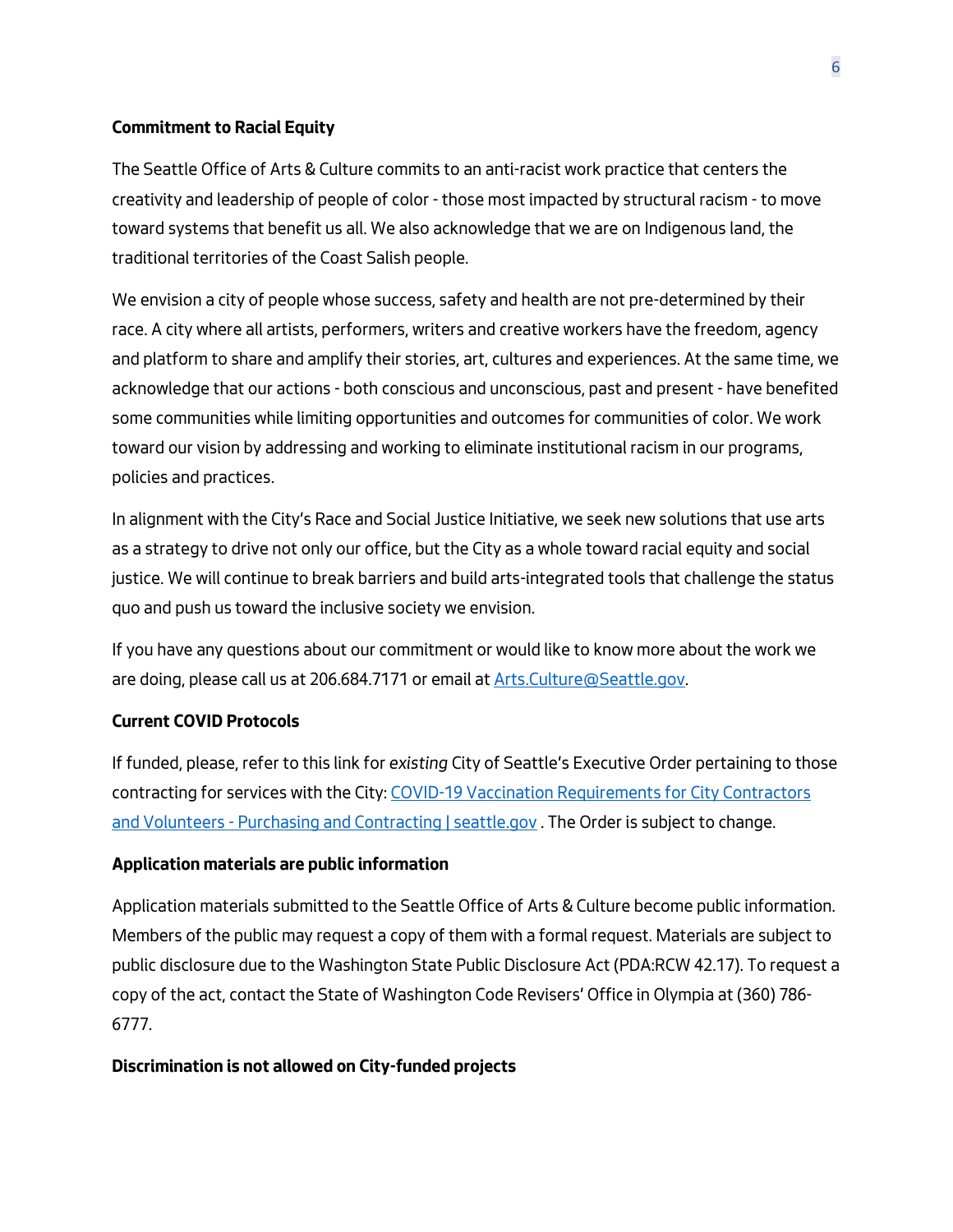### **Commitment to Racial Equity**

The Seattle Office of Arts & Culture commits to an anti-racist work practice that centers the creativity and leadership of people of color - those most impacted by structural racism - to move toward systems that benefit us all. We also acknowledge that we are on Indigenous land, the traditional territories of the Coast Salish people.

We envision a city of people whose success, safety and health are not pre-determined by their race. A city where all artists, performers, writers and creative workers have the freedom, agency and platform to share and amplify their stories, art, cultures and experiences. At the same time, we acknowledge that our actions - both conscious and unconscious, past and present - have benefited some communities while limiting opportunities and outcomes for communities of color. We work toward our vision by addressing and working to eliminate institutional racism in our programs, policies and practices.

In alignment with the City's Race and Social Justice Initiative, we seek new solutions that use arts as a strategy to drive not only our office, but the City as a whole toward racial equity and social justice. We will continue to break barriers and build arts-integrated tools that challenge the status quo and push us toward the inclusive society we envision.

If you have any questions about our commitment or would like to know more about the work we are doing, please call us at 206.684.7171 or email at Arts. Culture@Seattle.gov.

#### **Current COVID Protocols**

If funded, please, refer to this link for *existing* City of Seattle's Executive Order pertaining to those contracting for services with the City: [COVID-19 Vaccination Requirements for City Contractors](https://www.seattle.gov/purchasing-and-contracting/doing-business-with-the-city/covid-19-vaccination-requirements)  and Volunteers - [Purchasing and Contracting | seattle.gov](https://www.seattle.gov/purchasing-and-contracting/doing-business-with-the-city/covid-19-vaccination-requirements). The Order is subject to change.

#### **Application materials are public information**

Application materials submitted to the Seattle Office of Arts & Culture become public information. Members of the public may request a copy of them with a formal request. Materials are subject to public disclosure due to the Washington State Public Disclosure Act (PDA:RCW 42.17). To request a copy of the act, contact the State of Washington Code Revisers' Office in Olympia at (360) 786- 6777.

#### **Discrimination is not allowed on City-funded projects**